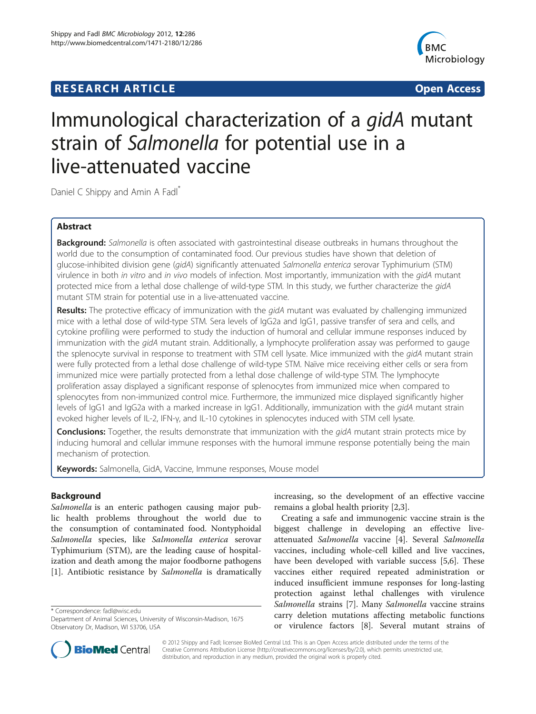# **RESEARCH ARTICLE Example 2018 12:00 Department of the CONNECTION CONNECTION CONNECTION CONNECTION**



# Immunological characterization of a gidA mutant strain of Salmonella for potential use in a live-attenuated vaccine

Daniel C Shippy and Amin A Fadl<sup>\*</sup>

# Abstract

Background: Salmonella is often associated with gastrointestinal disease outbreaks in humans throughout the world due to the consumption of contaminated food. Our previous studies have shown that deletion of glucose-inhibited division gene (gidA) significantly attenuated Salmonella enterica serovar Typhimurium (STM) virulence in both in vitro and in vivo models of infection. Most importantly, immunization with the gidA mutant protected mice from a lethal dose challenge of wild-type STM. In this study, we further characterize the gidA mutant STM strain for potential use in a live-attenuated vaccine.

Results: The protective efficacy of immunization with the gidA mutant was evaluated by challenging immunized mice with a lethal dose of wild-type STM. Sera levels of IgG2a and IgG1, passive transfer of sera and cells, and cytokine profiling were performed to study the induction of humoral and cellular immune responses induced by immunization with the gidA mutant strain. Additionally, a lymphocyte proliferation assay was performed to gauge the splenocyte survival in response to treatment with STM cell lysate. Mice immunized with the gidA mutant strain were fully protected from a lethal dose challenge of wild-type STM. Naïve mice receiving either cells or sera from immunized mice were partially protected from a lethal dose challenge of wild-type STM. The lymphocyte proliferation assay displayed a significant response of splenocytes from immunized mice when compared to splenocytes from non-immunized control mice. Furthermore, the immunized mice displayed significantly higher levels of IgG1 and IgG2a with a marked increase in IgG1. Additionally, immunization with the gidA mutant strain evoked higher levels of IL-2, IFN-γ, and IL-10 cytokines in splenocytes induced with STM cell lysate.

**Conclusions:** Together, the results demonstrate that immunization with the gidA mutant strain protects mice by inducing humoral and cellular immune responses with the humoral immune response potentially being the main mechanism of protection.

Keywords: Salmonella, GidA, Vaccine, Immune responses, Mouse model

# Background

Salmonella is an enteric pathogen causing major public health problems throughout the world due to the consumption of contaminated food. Nontyphoidal Salmonella species, like Salmonella enterica serovar Typhimurium (STM), are the leading cause of hospitalization and death among the major foodborne pathogens [[1\]](#page-8-0). Antibiotic resistance by Salmonella is dramatically

\* Correspondence: [fadl@wisc.edu](mailto:fadl@wisc.edu)

increasing, so the development of an effective vaccine remains a global health priority [[2,3\]](#page-8-0).

Creating a safe and immunogenic vaccine strain is the biggest challenge in developing an effective liveattenuated Salmonella vaccine [[4\]](#page-8-0). Several Salmonella vaccines, including whole-cell killed and live vaccines, have been developed with variable success [[5](#page-8-0),[6\]](#page-8-0). These vaccines either required repeated administration or induced insufficient immune responses for long-lasting protection against lethal challenges with virulence Salmonella strains [[7\]](#page-8-0). Many Salmonella vaccine strains carry deletion mutations affecting metabolic functions or virulence factors [\[8](#page-8-0)]. Several mutant strains of



© 2012 Shippy and Fadl; licensee BioMed Central Ltd. This is an Open Access article distributed under the terms of the Creative Commons Attribution License (<http://creativecommons.org/licenses/by/2.0>), which permits unrestricted use, distribution, and reproduction in any medium, provided the original work is properly cited.

Department of Animal Sciences, University of Wisconsin-Madison, 1675 Observatory Dr, Madison, WI 53706, USA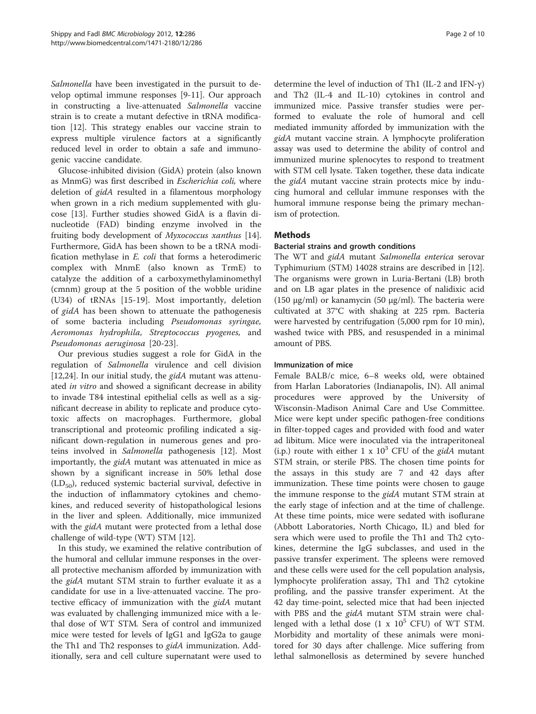Salmonella have been investigated in the pursuit to develop optimal immune responses [[9-11](#page-8-0)]. Our approach in constructing a live-attenuated Salmonella vaccine strain is to create a mutant defective in tRNA modification [\[12\]](#page-8-0). This strategy enables our vaccine strain to express multiple virulence factors at a significantly reduced level in order to obtain a safe and immunogenic vaccine candidate.

Glucose-inhibited division (GidA) protein (also known as MnmG) was first described in Escherichia coli, where deletion of gidA resulted in a filamentous morphology when grown in a rich medium supplemented with glucose [\[13\]](#page-8-0). Further studies showed GidA is a flavin dinucleotide (FAD) binding enzyme involved in the fruiting body development of Myxococcus xanthus [\[14](#page-8-0)]. Furthermore, GidA has been shown to be a tRNA modification methylase in E. coli that forms a heterodimeric complex with MnmE (also known as TrmE) to catalyze the addition of a carboxymethylaminomethyl (cmnm) group at the 5 position of the wobble uridine (U34) of tRNAs [[15-19](#page-8-0)]. Most importantly, deletion of gidA has been shown to attenuate the pathogenesis of some bacteria including Pseudomonas syringae, Aeromonas hydrophila, Streptococcus pyogenes, and Pseudomonas aeruginosa [[20-23\]](#page-8-0).

Our previous studies suggest a role for GidA in the regulation of Salmonella virulence and cell division [[12,24\]](#page-8-0). In our initial study, the  $gidA$  mutant was attenuated in vitro and showed a significant decrease in ability to invade T84 intestinal epithelial cells as well as a significant decrease in ability to replicate and produce cytotoxic affects on macrophages. Furthermore, global transcriptional and proteomic profiling indicated a significant down-regulation in numerous genes and proteins involved in Salmonella pathogenesis [\[12](#page-8-0)]. Most importantly, the gidA mutant was attenuated in mice as shown by a significant increase in 50% lethal dose  $(LD_{50})$ , reduced systemic bacterial survival, defective in the induction of inflammatory cytokines and chemokines, and reduced severity of histopathological lesions in the liver and spleen. Additionally, mice immunized with the *gidA* mutant were protected from a lethal dose challenge of wild-type (WT) STM [\[12\]](#page-8-0).

In this study, we examined the relative contribution of the humoral and cellular immune responses in the overall protective mechanism afforded by immunization with the gidA mutant STM strain to further evaluate it as a candidate for use in a live-attenuated vaccine. The protective efficacy of immunization with the  $\mathit{gid}A$  mutant was evaluated by challenging immunized mice with a lethal dose of WT STM. Sera of control and immunized mice were tested for levels of IgG1 and IgG2a to gauge the Th1 and Th2 responses to *gidA* immunization. Additionally, sera and cell culture supernatant were used to

determine the level of induction of Th1 (IL-2 and IFN-γ) and Th2 (IL-4 and IL-10) cytokines in control and immunized mice. Passive transfer studies were performed to evaluate the role of humoral and cell mediated immunity afforded by immunization with the gidA mutant vaccine strain. A lymphocyte proliferation assay was used to determine the ability of control and immunized murine splenocytes to respond to treatment with STM cell lysate. Taken together, these data indicate the gidA mutant vaccine strain protects mice by inducing humoral and cellular immune responses with the humoral immune response being the primary mechanism of protection.

# Methods

# Bacterial strains and growth conditions

The WT and gidA mutant Salmonella enterica serovar Typhimurium (STM) 14028 strains are described in [\[12](#page-8-0)]. The organisms were grown in Luria-Bertani (LB) broth and on LB agar plates in the presence of nalidixic acid (150 μg/ml) or kanamycin (50 μg/ml). The bacteria were cultivated at 37°C with shaking at 225 rpm. Bacteria were harvested by centrifugation (5,000 rpm for 10 min), washed twice with PBS, and resuspended in a minimal amount of PBS.

# Immunization of mice

Female BALB/c mice, 6–8 weeks old, were obtained from Harlan Laboratories (Indianapolis, IN). All animal procedures were approved by the University of Wisconsin-Madison Animal Care and Use Committee. Mice were kept under specific pathogen-free conditions in filter-topped cages and provided with food and water ad libitum. Mice were inoculated via the intraperitoneal (i.p.) route with either 1 x  $10^3$  CFU of the *gidA* mutant STM strain, or sterile PBS. The chosen time points for the assays in this study are 7 and 42 days after immunization. These time points were chosen to gauge the immune response to the gidA mutant STM strain at the early stage of infection and at the time of challenge. At these time points, mice were sedated with isoflurane (Abbott Laboratories, North Chicago, IL) and bled for sera which were used to profile the Th1 and Th2 cytokines, determine the IgG subclasses, and used in the passive transfer experiment. The spleens were removed and these cells were used for the cell population analysis, lymphocyte proliferation assay, Th1 and Th2 cytokine profiling, and the passive transfer experiment. At the 42 day time-point, selected mice that had been injected with PBS and the gidA mutant STM strain were challenged with a lethal dose  $(1 \times 10^5 \text{ CFU})$  of WT STM. Morbidity and mortality of these animals were monitored for 30 days after challenge. Mice suffering from lethal salmonellosis as determined by severe hunched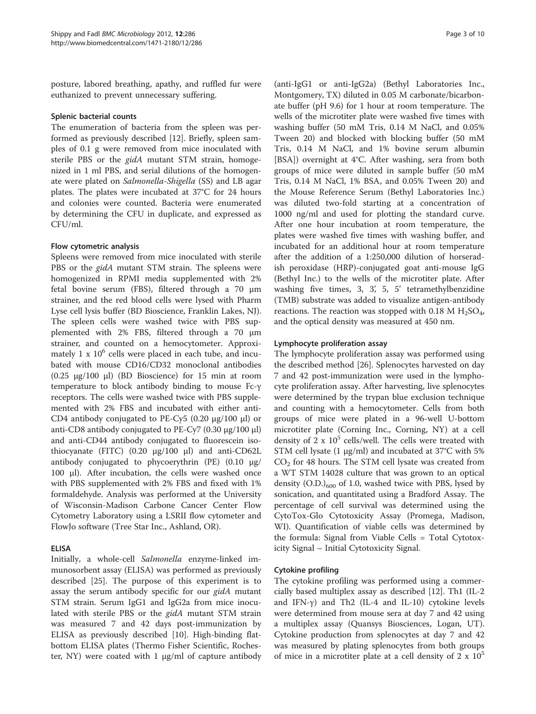posture, labored breathing, apathy, and ruffled fur were euthanized to prevent unnecessary suffering.

#### Splenic bacterial counts

The enumeration of bacteria from the spleen was performed as previously described [\[12](#page-8-0)]. Briefly, spleen samples of 0.1 g were removed from mice inoculated with sterile PBS or the gidA mutant STM strain, homogenized in 1 ml PBS, and serial dilutions of the homogenate were plated on Salmonella-Shigella (SS) and LB agar plates. The plates were incubated at 37°C for 24 hours and colonies were counted. Bacteria were enumerated by determining the CFU in duplicate, and expressed as CFU/ml.

#### Flow cytometric analysis

Spleens were removed from mice inoculated with sterile PBS or the *gidA* mutant STM strain. The spleens were homogenized in RPMI media supplemented with 2% fetal bovine serum (FBS), filtered through a 70 μm strainer, and the red blood cells were lysed with Pharm Lyse cell lysis buffer (BD Bioscience, Franklin Lakes, NJ). The spleen cells were washed twice with PBS supplemented with 2% FBS, filtered through a 70 μm strainer, and counted on a hemocytometer. Approximately  $1 \times 10^6$  cells were placed in each tube, and incubated with mouse CD16/CD32 monoclonal antibodies (0.25 μg/100 μl) (BD Bioscience) for 15 min at room temperature to block antibody binding to mouse Fc-γ receptors. The cells were washed twice with PBS supplemented with 2% FBS and incubated with either anti-CD4 antibody conjugated to PE-Cy5 (0.20 μg/100 μl) or anti-CD8 antibody conjugated to PE-Cy7 (0.30 μg/100 μl) and anti-CD44 antibody conjugated to fluorescein isothiocyanate (FITC) (0.20 μg/100 μl) and anti-CD62L antibody conjugated to phycoerythrin (PE) (0.10 μg/ 100 μl). After incubation, the cells were washed once with PBS supplemented with 2% FBS and fixed with 1% formaldehyde. Analysis was performed at the University of Wisconsin-Madison Carbone Cancer Center Flow Cytometry Laboratory using a LSRII flow cytometer and FlowJo software (Tree Star Inc., Ashland, OR).

# ELISA

Initially, a whole-cell Salmonella enzyme-linked immunosorbent assay (ELISA) was performed as previously described [\[25\]](#page-8-0). The purpose of this experiment is to assay the serum antibody specific for our *gidA* mutant STM strain. Serum IgG1 and IgG2a from mice inoculated with sterile PBS or the *gidA* mutant STM strain was measured 7 and 42 days post-immunization by ELISA as previously described [\[10](#page-8-0)]. High-binding flatbottom ELISA plates (Thermo Fisher Scientific, Rochester, NY) were coated with 1 μg/ml of capture antibody

(anti-IgG1 or anti-IgG2a) (Bethyl Laboratories Inc., Montgomery, TX) diluted in 0.05 M carbonate/bicarbonate buffer (pH 9.6) for 1 hour at room temperature. The wells of the microtiter plate were washed five times with washing buffer (50 mM Tris, 0.14 M NaCl, and 0.05% Tween 20) and blocked with blocking buffer (50 mM Tris, 0.14 M NaCl, and 1% bovine serum albumin [BSA]) overnight at 4°C. After washing, sera from both groups of mice were diluted in sample buffer (50 mM Tris, 0.14 M NaCl, 1% BSA, and 0.05% Tween 20) and the Mouse Reference Serum (Bethyl Laboratories Inc.) was diluted two-fold starting at a concentration of 1000 ng/ml and used for plotting the standard curve. After one hour incubation at room temperature, the plates were washed five times with washing buffer, and incubated for an additional hour at room temperature after the addition of a 1:250,000 dilution of horseradish peroxidase (HRP)-conjugated goat anti-mouse IgG (Bethyl Inc.) to the wells of the microtiter plate. After washing five times, 3, 3', 5, 5' tetramethylbenzidine (TMB) substrate was added to visualize antigen-antibody reactions. The reaction was stopped with 0.18 M  $H_2SO_4$ , and the optical density was measured at 450 nm.

# Lymphocyte proliferation assay

The lymphocyte proliferation assay was performed using the described method [[26\]](#page-8-0). Splenocytes harvested on day 7 and 42 post-immunization were used in the lymphocyte proliferation assay. After harvesting, live splenocytes were determined by the trypan blue exclusion technique and counting with a hemocytometer. Cells from both groups of mice were plated in a 96-well U-bottom microtiter plate (Corning Inc., Corning, NY) at a cell density of 2 x  $10^5$  cells/well. The cells were treated with STM cell lysate (1 μg/ml) and incubated at 37°C with 5%  $CO<sub>2</sub>$  for 48 hours. The STM cell lysate was created from a WT STM 14028 culture that was grown to an optical density  $(O.D.)_{600}$  of 1.0, washed twice with PBS, lysed by sonication, and quantitated using a Bradford Assay. The percentage of cell survival was determined using the CytoTox-Glo Cytotoxicity Assay (Promega, Madison, WI). Quantification of viable cells was determined by the formula: Signal from Viable Cells = Total Cytotoxicity Signal – Initial Cytotoxicity Signal.

# Cytokine profiling

The cytokine profiling was performed using a commercially based multiplex assay as described [\[12](#page-8-0)]. Th1 (IL-2 and IFN- $\gamma$ ) and Th2 (IL-4 and IL-10) cytokine levels were determined from mouse sera at day 7 and 42 using a multiplex assay (Quansys Biosciences, Logan, UT). Cytokine production from splenocytes at day 7 and 42 was measured by plating splenocytes from both groups of mice in a microtiter plate at a cell density of  $2 \times 10^5$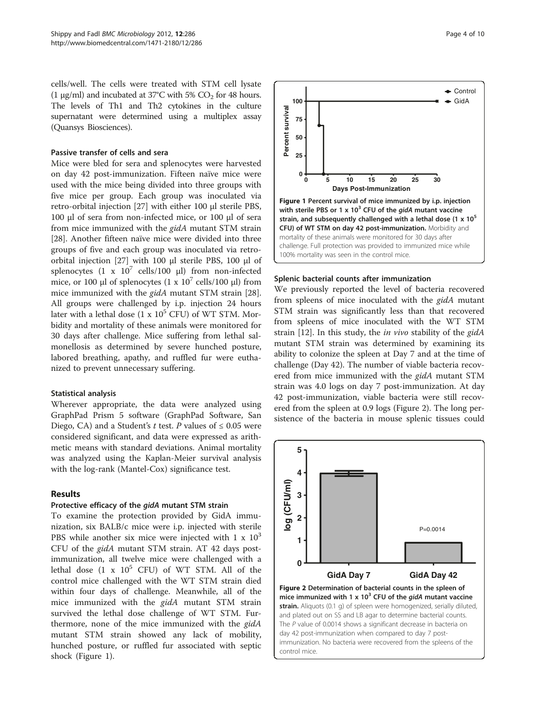cells/well. The cells were treated with STM cell lysate (1 μg/ml) and incubated at 37°C with 5%  $CO_2$  for 48 hours. The levels of Th1 and Th2 cytokines in the culture supernatant were determined using a multiplex assay (Quansys Biosciences).

#### Passive transfer of cells and sera

Mice were bled for sera and splenocytes were harvested on day 42 post-immunization. Fifteen naïve mice were used with the mice being divided into three groups with five mice per group. Each group was inoculated via retro-orbital injection [[27\]](#page-8-0) with either 100 μl sterile PBS, 100 μl of sera from non-infected mice, or 100 μl of sera from mice immunized with the gidA mutant STM strain [[28\]](#page-8-0). Another fifteen naïve mice were divided into three groups of five and each group was inoculated via retroorbital injection [\[27](#page-8-0)] with 100 μl sterile PBS, 100 μl of splenocytes  $(1 \times 10^7 \text{ cells}/100 \text{ µ})$  from non-infected mice, or 100 μl of splenocytes  $(1 \times 10^{7} \text{ cells}/100 \text{ µl})$  from mice immunized with the gidA mutant STM strain [\[28](#page-8-0)]. All groups were challenged by i.p. injection 24 hours later with a lethal dose  $(1 \times 10^5 \text{ CFU})$  of WT STM. Morbidity and mortality of these animals were monitored for 30 days after challenge. Mice suffering from lethal salmonellosis as determined by severe hunched posture, labored breathing, apathy, and ruffled fur were euthanized to prevent unnecessary suffering.

#### Statistical analysis

Wherever appropriate, the data were analyzed using GraphPad Prism 5 software (GraphPad Software, San Diego, CA) and a Student's t test. P values of  $\leq 0.05$  were considered significant, and data were expressed as arithmetic means with standard deviations. Animal mortality was analyzed using the Kaplan-Meier survival analysis with the log-rank (Mantel-Cox) significance test.

#### Results

#### Protective efficacy of the gidA mutant STM strain

To examine the protection provided by GidA immunization, six BALB/c mice were i.p. injected with sterile PBS while another six mice were injected with  $1 \times 10^3$ CFU of the gidA mutant STM strain. AT 42 days postimmunization, all twelve mice were challenged with a lethal dose  $(1 \times 10^5 \text{ CFU})$  of WT STM. All of the control mice challenged with the WT STM strain died within four days of challenge. Meanwhile, all of the mice immunized with the gidA mutant STM strain survived the lethal dose challenge of WT STM. Furthermore, none of the mice immunized with the gidA mutant STM strain showed any lack of mobility, hunched posture, or ruffled fur associated with septic shock (Figure 1).



#### Splenic bacterial counts after immunization

We previously reported the level of bacteria recovered from spleens of mice inoculated with the gidA mutant STM strain was significantly less than that recovered from spleens of mice inoculated with the WT STM strain [\[12\]](#page-8-0). In this study, the *in vivo* stability of the gidA mutant STM strain was determined by examining its ability to colonize the spleen at Day 7 and at the time of challenge (Day 42). The number of viable bacteria recovered from mice immunized with the gidA mutant STM strain was 4.0 logs on day 7 post-immunization. At day 42 post-immunization, viable bacteria were still recovered from the spleen at 0.9 logs (Figure 2). The long persistence of the bacteria in mouse splenic tissues could

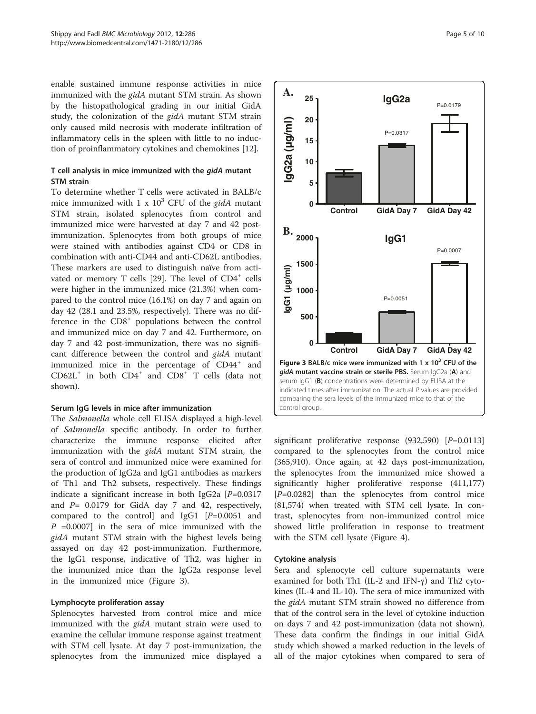enable sustained immune response activities in mice immunized with the gidA mutant STM strain. As shown by the histopathological grading in our initial GidA study, the colonization of the gidA mutant STM strain only caused mild necrosis with moderate infiltration of inflammatory cells in the spleen with little to no induction of proinflammatory cytokines and chemokines [\[12](#page-8-0)].

# T cell analysis in mice immunized with the gidA mutant STM strain

To determine whether T cells were activated in BALB/c mice immunized with 1 x  $10^3$  CFU of the *gidA* mutant STM strain, isolated splenocytes from control and immunized mice were harvested at day 7 and 42 postimmunization. Splenocytes from both groups of mice were stained with antibodies against CD4 or CD8 in combination with anti-CD44 and anti-CD62L antibodies. These markers are used to distinguish naïve from acti-vated or memory T cells [[29\]](#page-8-0). The level of  $CD4^+$  cells were higher in the immunized mice (21.3%) when compared to the control mice (16.1%) on day 7 and again on day 42 (28.1 and 23.5%, respectively). There was no difference in the  $CD8<sup>+</sup>$  populations between the control and immunized mice on day 7 and 42. Furthermore, on day 7 and 42 post-immunization, there was no significant difference between the control and gidA mutant immunized mice in the percentage of CD44<sup>+</sup> and CD62L+ in both CD4<sup>+</sup> and CD8<sup>+</sup> T cells (data not shown).

# Serum IgG levels in mice after immunization

The Salmonella whole cell ELISA displayed a high-level of Salmonella specific antibody. In order to further characterize the immune response elicited after immunization with the *gidA* mutant STM strain, the sera of control and immunized mice were examined for the production of IgG2a and IgG1 antibodies as markers of Th1 and Th2 subsets, respectively. These findings indicate a significant increase in both IgG2a  $[P=0.0317]$ and  $P= 0.0179$  for GidA day 7 and 42, respectively, compared to the control] and IgG1 [P=0.0051 and  $P = 0.0007$  in the sera of mice immunized with the gidA mutant STM strain with the highest levels being assayed on day 42 post-immunization. Furthermore, the IgG1 response, indicative of Th2, was higher in the immunized mice than the IgG2a response level in the immunized mice (Figure 3).

#### Lymphocyte proliferation assay

Splenocytes harvested from control mice and mice immunized with the gidA mutant strain were used to examine the cellular immune response against treatment with STM cell lysate. At day 7 post-immunization, the splenocytes from the immunized mice displayed a



significant proliferative response (932,590) [P=0.0113] compared to the splenocytes from the control mice (365,910). Once again, at 42 days post-immunization, the splenocytes from the immunized mice showed a significantly higher proliferative response (411,177) [P=0.0282] than the splenocytes from control mice (81,574) when treated with STM cell lysate. In contrast, splenocytes from non-immunized control mice showed little proliferation in response to treatment with the STM cell lysate (Figure [4](#page-5-0)).

#### Cytokine analysis

Sera and splenocyte cell culture supernatants were examined for both Th1 (IL-2 and IFN-γ) and Th2 cytokines (IL-4 and IL-10). The sera of mice immunized with the gidA mutant STM strain showed no difference from that of the control sera in the level of cytokine induction on days 7 and 42 post-immunization (data not shown). These data confirm the findings in our initial GidA study which showed a marked reduction in the levels of all of the major cytokines when compared to sera of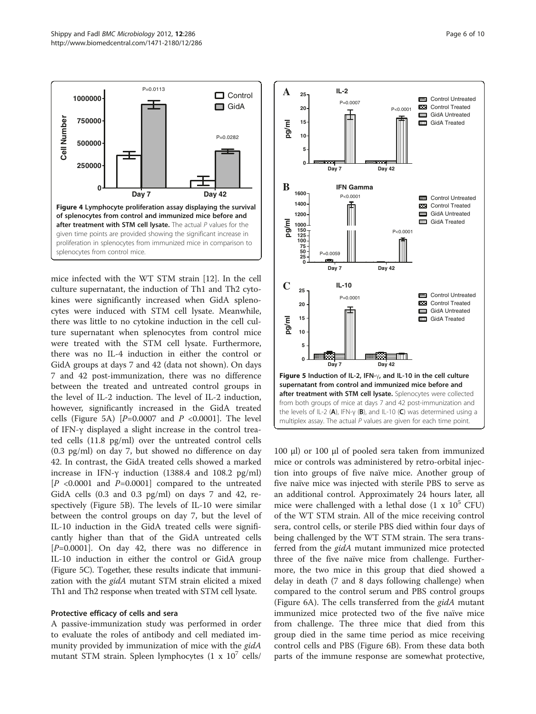<span id="page-5-0"></span>

mice infected with the WT STM strain [[12\]](#page-8-0). In the cell culture supernatant, the induction of Th1 and Th2 cytokines were significantly increased when GidA splenocytes were induced with STM cell lysate. Meanwhile, there was little to no cytokine induction in the cell culture supernatant when splenocytes from control mice were treated with the STM cell lysate. Furthermore, there was no IL-4 induction in either the control or GidA groups at days 7 and 42 (data not shown). On days 7 and 42 post-immunization, there was no difference between the treated and untreated control groups in the level of IL-2 induction. The level of IL-2 induction, however, significantly increased in the GidA treated cells (Figure 5A)  $[P=0.0007$  and  $P < 0.0001$ ]. The level of IFN-γ displayed a slight increase in the control treated cells (11.8 pg/ml) over the untreated control cells (0.3 pg/ml) on day 7, but showed no difference on day 42. In contrast, the GidA treated cells showed a marked increase in IFN-γ induction (1388.4 and 108.2 pg/ml)  $[P \sim 0.0001]$  and  $P=0.0001]$  compared to the untreated GidA cells (0.3 and 0.3 pg/ml) on days 7 and 42, respectively (Figure 5B). The levels of IL-10 were similar between the control groups on day 7, but the level of IL-10 induction in the GidA treated cells were significantly higher than that of the GidA untreated cells  $[P=0.0001]$ . On day 42, there was no difference in IL-10 induction in either the control or GidA group (Figure 5C). Together, these results indicate that immunization with the gidA mutant STM strain elicited a mixed Th1 and Th2 response when treated with STM cell lysate.

#### Protective efficacy of cells and sera

A passive-immunization study was performed in order to evaluate the roles of antibody and cell mediated immunity provided by immunization of mice with the gidA mutant STM strain. Spleen lymphocytes  $(1 \times 10^7 \text{ cells})$ 



100 μl) or 100 μl of pooled sera taken from immunized mice or controls was administered by retro-orbital injection into groups of five naïve mice. Another group of five naïve mice was injected with sterile PBS to serve as an additional control. Approximately 24 hours later, all mice were challenged with a lethal dose  $(1 \times 10^5 \text{ CFU})$ of the WT STM strain. All of the mice receiving control sera, control cells, or sterile PBS died within four days of being challenged by the WT STM strain. The sera transferred from the *gidA* mutant immunized mice protected three of the five naïve mice from challenge. Furthermore, the two mice in this group that died showed a delay in death (7 and 8 days following challenge) when compared to the control serum and PBS control groups (Figure [6](#page-6-0)A). The cells transferred from the gidA mutant immunized mice protected two of the five naïve mice from challenge. The three mice that died from this group died in the same time period as mice receiving control cells and PBS (Figure [6](#page-6-0)B). From these data both parts of the immune response are somewhat protective,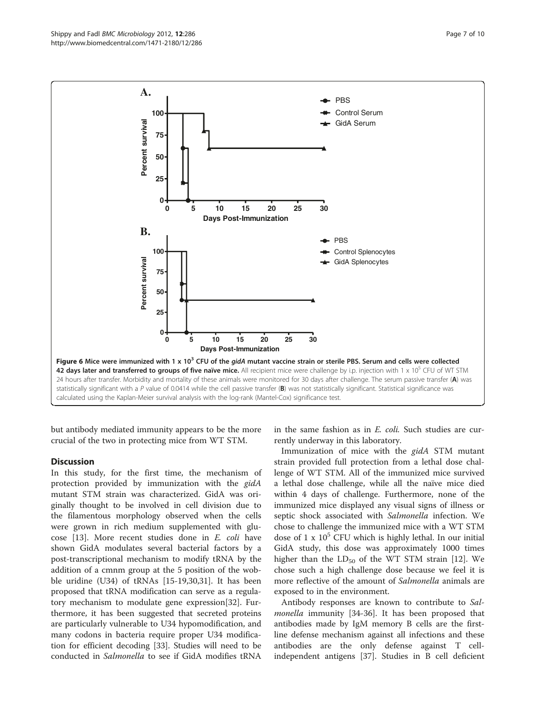<span id="page-6-0"></span>

but antibody mediated immunity appears to be the more crucial of the two in protecting mice from WT STM.

# **Discussion**

In this study, for the first time, the mechanism of protection provided by immunization with the gidA mutant STM strain was characterized. GidA was originally thought to be involved in cell division due to the filamentous morphology observed when the cells were grown in rich medium supplemented with glucose [\[13](#page-8-0)]. More recent studies done in E. coli have shown GidA modulates several bacterial factors by a post-transcriptional mechanism to modify tRNA by the addition of a cmnm group at the 5 position of the wobble uridine (U34) of tRNAs [\[15-19](#page-8-0),[30,31](#page-8-0)]. It has been proposed that tRNA modification can serve as a regulatory mechanism to modulate gene expression[[32](#page-8-0)]. Furthermore, it has been suggested that secreted proteins are particularly vulnerable to U34 hypomodification, and many codons in bacteria require proper U34 modification for efficient decoding [[33\]](#page-8-0). Studies will need to be conducted in Salmonella to see if GidA modifies tRNA in the same fashion as in E. coli. Such studies are currently underway in this laboratory.

Immunization of mice with the gidA STM mutant strain provided full protection from a lethal dose challenge of WT STM. All of the immunized mice survived a lethal dose challenge, while all the naïve mice died within 4 days of challenge. Furthermore, none of the immunized mice displayed any visual signs of illness or septic shock associated with Salmonella infection. We chose to challenge the immunized mice with a WT STM dose of  $1 \times 10^5$  CFU which is highly lethal. In our initial GidA study, this dose was approximately 1000 times higher than the  $LD_{50}$  of the WT STM strain [[12\]](#page-8-0). We chose such a high challenge dose because we feel it is more reflective of the amount of Salmonella animals are exposed to in the environment.

Antibody responses are known to contribute to Sal*monella* immunity [[34-](#page-8-0)[36\]](#page-9-0). It has been proposed that antibodies made by IgM memory B cells are the firstline defense mechanism against all infections and these antibodies are the only defense against T cellindependent antigens [[37](#page-9-0)]. Studies in B cell deficient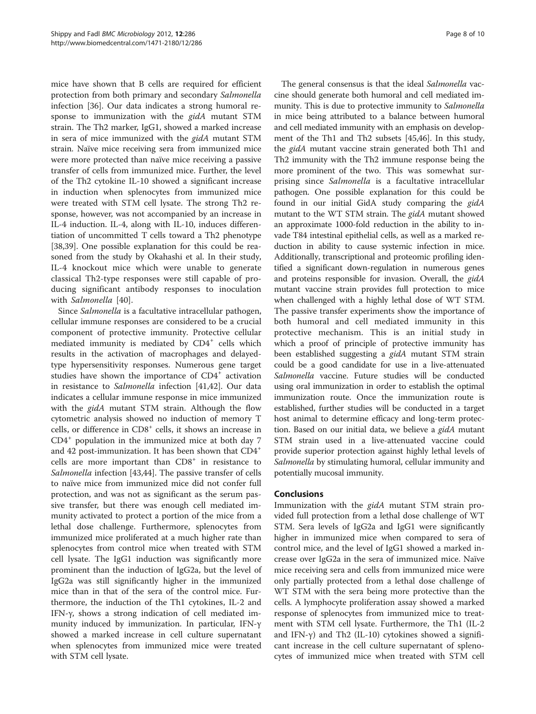mice have shown that B cells are required for efficient protection from both primary and secondary Salmonella infection [[36\]](#page-9-0). Our data indicates a strong humoral response to immunization with the gidA mutant STM strain. The Th2 marker, IgG1, showed a marked increase in sera of mice immunized with the gidA mutant STM strain. Naïve mice receiving sera from immunized mice were more protected than naïve mice receiving a passive transfer of cells from immunized mice. Further, the level of the Th2 cytokine IL-10 showed a significant increase in induction when splenocytes from immunized mice were treated with STM cell lysate. The strong Th2 response, however, was not accompanied by an increase in IL-4 induction. IL-4, along with IL-10, induces differentiation of uncommitted T cells toward a Th2 phenotype [[38,39\]](#page-9-0). One possible explanation for this could be reasoned from the study by Okahashi et al. In their study, IL-4 knockout mice which were unable to generate classical Th2-type responses were still capable of producing significant antibody responses to inoculation with Salmonella [\[40](#page-9-0)].

Since Salmonella is a facultative intracellular pathogen, cellular immune responses are considered to be a crucial component of protective immunity. Protective cellular mediated immunity is mediated by CD4<sup>+</sup> cells which results in the activation of macrophages and delayedtype hypersensitivity responses. Numerous gene target studies have shown the importance of CD4<sup>+</sup> activation in resistance to Salmonella infection [\[41,42](#page-9-0)]. Our data indicates a cellular immune response in mice immunized with the *gidA* mutant STM strain. Although the flow cytometric analysis showed no induction of memory T cells, or difference in CD8<sup>+</sup> cells, it shows an increase in  $CD4<sup>+</sup>$  population in the immunized mice at both day 7 and 42 post-immunization. It has been shown that CD4<sup>+</sup> cells are more important than  $CDS<sup>+</sup>$  in resistance to Salmonella infection [\[43,44\]](#page-9-0). The passive transfer of cells to naïve mice from immunized mice did not confer full protection, and was not as significant as the serum passive transfer, but there was enough cell mediated immunity activated to protect a portion of the mice from a lethal dose challenge. Furthermore, splenocytes from immunized mice proliferated at a much higher rate than splenocytes from control mice when treated with STM cell lysate. The IgG1 induction was significantly more prominent than the induction of IgG2a, but the level of IgG2a was still significantly higher in the immunized mice than in that of the sera of the control mice. Furthermore, the induction of the Th1 cytokines, IL-2 and IFN-γ, shows a strong indication of cell mediated immunity induced by immunization. In particular, IFN-γ showed a marked increase in cell culture supernatant when splenocytes from immunized mice were treated with STM cell lysate.

The general consensus is that the ideal Salmonella vaccine should generate both humoral and cell mediated immunity. This is due to protective immunity to Salmonella in mice being attributed to a balance between humoral and cell mediated immunity with an emphasis on development of the Th1 and Th2 subsets [\[45,46\]](#page-9-0). In this study, the gidA mutant vaccine strain generated both Th1 and Th2 immunity with the Th2 immune response being the more prominent of the two. This was somewhat surprising since Salmonella is a facultative intracellular pathogen. One possible explanation for this could be found in our initial GidA study comparing the gidA mutant to the WT STM strain. The gidA mutant showed an approximate 1000-fold reduction in the ability to invade T84 intestinal epithelial cells, as well as a marked reduction in ability to cause systemic infection in mice. Additionally, transcriptional and proteomic profiling identified a significant down-regulation in numerous genes and proteins responsible for invasion. Overall, the gidA mutant vaccine strain provides full protection to mice when challenged with a highly lethal dose of WT STM. The passive transfer experiments show the importance of both humoral and cell mediated immunity in this protective mechanism. This is an initial study in which a proof of principle of protective immunity has been established suggesting a gidA mutant STM strain could be a good candidate for use in a live-attenuated Salmonella vaccine. Future studies will be conducted using oral immunization in order to establish the optimal immunization route. Once the immunization route is established, further studies will be conducted in a target host animal to determine efficacy and long-term protection. Based on our initial data, we believe a gidA mutant STM strain used in a live-attenuated vaccine could provide superior protection against highly lethal levels of Salmonella by stimulating humoral, cellular immunity and potentially mucosal immunity.

# **Conclusions**

Immunization with the gidA mutant STM strain provided full protection from a lethal dose challenge of WT STM. Sera levels of IgG2a and IgG1 were significantly higher in immunized mice when compared to sera of control mice, and the level of IgG1 showed a marked increase over IgG2a in the sera of immunized mice. Naïve mice receiving sera and cells from immunized mice were only partially protected from a lethal dose challenge of WT STM with the sera being more protective than the cells. A lymphocyte proliferation assay showed a marked response of splenocytes from immunized mice to treatment with STM cell lysate. Furthermore, the Th1 (IL-2 and IFN-γ) and Th2 (IL-10) cytokines showed a significant increase in the cell culture supernatant of splenocytes of immunized mice when treated with STM cell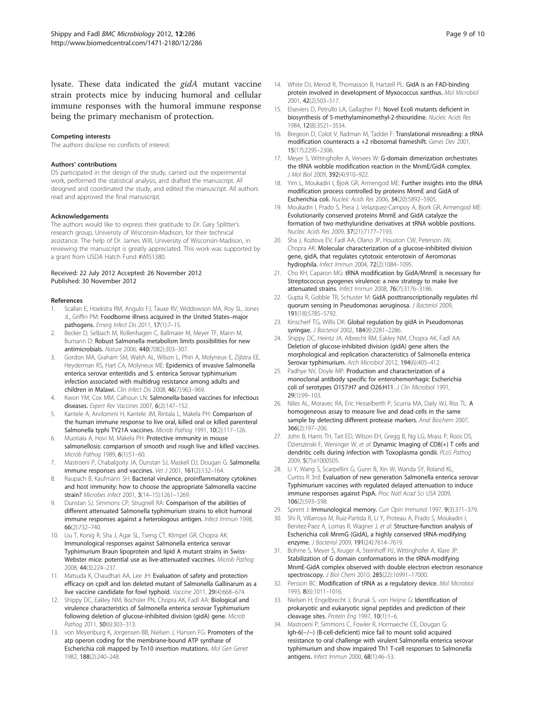<span id="page-8-0"></span>lysate. These data indicated the gidA mutant vaccine strain protects mice by inducing humoral and cellular immune responses with the humoral immune response being the primary mechanism of protection.

#### Competing interests

The authors disclose no conflicts of interest.

#### Authors' contributions

DS participated in the design of the study, carried out the experimental work, performed the statistical analysis, and drafted the manuscript. AF designed and coordinated the study, and edited the manuscript. All authors read and approved the final manuscript.

#### Acknowledgements

The authors would like to express their gratitude to Dr. Gary Splitter's research group, University of Wisconsin-Madison, for their technical assistance. The help of Dr. James Will, University of Wisconsin-Madison, in reviewing the manuscript is greatly appreciated. This work was supported by a grant from USDA Hatch Fund #WIS1380.

#### Received: 22 July 2012 Accepted: 26 November 2012 Published: 30 November 2012

#### References

- Scallan E, Hoekstra RM, Angulo FJ, Tauxe RV, Widdowson MA, Roy SL, Jones JL, Griffin PM: Foodborne illness acquired in the United States–major pathogens. Emerg Infect Dis 2011, 17(1):7–15.
- 2. Becker D, Selbach M, Rollenhagen C, Ballmaier M, Meyer TF, Mann M, Bumann D: Robust Salmonella metabolism limits possibilities for new antimicrobials. Nature 2006, 440(7082):303–307.
- 3. Gordon MA, Graham SM, Walsh AL, Wilson L, Phiri A, Molyneux E, Zijlstra EE, Heyderman RS, Hart CA, Molyneux ME: Epidemics of invasive Salmonella enterica serovar enteritidis and S. enterica Serovar typhimurium infection associated with multidrug resistance among adults and children in Malawi. Clin Infect Dis 2008, 46(7):963–969.
- 4. Kwon YM, Cox MM, Calhoun LN: Salmonella-based vaccines for infectious diseases. Expert Rev Vaccines 2007, 6(2):147-152.
- Kantele A, Arvilommi H, Kantele JM, Rintala L, Makela PH: Comparison of the human immune response to live oral, killed oral or killed parenteral Salmonella typhi TY21A vaccines. Microb Pathog 1991, 10(2):117–126.
- 6. Muotiala A, Hovi M, Makela PH: Protective immunity in mouse salmonellosis: comparison of smooth and rough live and killed vaccines. Microb Pathog 1989, 6(1):51–60.
- 7. Mastroeni P, Chabalgoity JA, Dunstan SJ, Maskell DJ, Dougan G: Salmonella: immune responses and vaccines. Vet J 2001, 161(2):132–164.
- 8. Raupach B, Kaufmann SH: Bacterial virulence, proinflammatory cytokines and host immunity: how to choose the appropriate Salmonella vaccine strain? Microbes Infect 2001, 3(14–15):1261–1269.
- Dunstan SJ, Simmons CP, Strugnell RA: Comparison of the abilities of different attenuated Salmonella typhimurium strains to elicit humoral immune responses against a heterologous antigen. Infect Immun 1998, 66(2):732–740.
- 10. Liu T, Konig R, Sha J, Agar SL, Tseng CT, Klimpel GR, Chopra AK: Immunological responses against Salmonella enterica serovar Typhimurium Braun lipoprotein and lipid A mutant strains in Swiss-Webster mice: potential use as live-attenuated vaccines. Microb Pathog 2008, 44(3):224–237.
- 11. Matsuda K, Chaudhari AA, Lee JH: Evaluation of safety and protection efficacy on cpxR and lon deleted mutant of Salmonella Gallinarum as a live vaccine candidate for fowl typhoid. Vaccine 2011, 29(4):668–674.
- 12. Shippy DC, Eakley NM, Bochsler PN, Chopra AK, Fadl AA: Biological and virulence characteristics of Salmonella enterica serovar Typhimurium following deletion of glucose-inhibited division (gidA) gene. Microb Pathog 2011, 50(6):303-313.
- 13. von Meyenburg K, Jorgensen BB, Nielsen J, Hansen FG: Promoters of the atp operon coding for the membrane-bound ATP synthase of Escherichia coli mapped by Tn10 insertion mutations. Mol Gen Genet 1982, 188(2):240–248.
- 14. White DJ, Merod R, Thomasson B, Hartzell PL: GidA is an FAD-binding protein involved in development of Myxococcus xanthus. Mol Microbiol 2001, 42(2):503–517.
- 15. Elseviers D, Petrullo LA, Gallagher PJ: Novel Ecoli mutants deficient in biosynthesis of 5-methylaminomethyl-2-thiouridine. Nucleic Acids Res 1984, 12(8):3521–3534.
- 16. Bregeon D, Colot V, Radman M, Taddei F: Translational misreading: a tRNA modification counteracts a +2 ribosomal frameshift. Genes Dev 2001, 15(17):2295–2306.
- 17. Meyer S, Wittinghofer A, Versees W: G-domain dimerization orchestrates the tRNA wobble modification reaction in the MnmE/GidA complex. J Mol Biol 2009, 392(4):910–922.
- 18. Yim L, Moukadiri I, Bjork GR, Armengod ME: Further insights into the tRNA modification process controlled by proteins MnmE and GidA of Escherichia coli. Nucleic Acids Res 2006, 34(20):5892–5905.
- 19. Moukadiri I, Prado S, Piera J, Velazquez-Campoy A, Bjork GR, Armengod ME: Evolutionarily conserved proteins MnmE and GidA catalyze the formation of two methyluridine derivatives at tRNA wobble positions. Nucleic Acids Res 2009, 37(21):7177–7193.
- 20. Sha J, Kozlova EV, Fadl AA, Olano JP, Houston CW, Peterson JW, Chopra AK: Molecular characterization of a glucose-inhibited division gene, gidA, that regulates cytotoxic enterotoxin of Aeromonas hydrophila. Infect Immun 2004, 72(2):1084–1095.
- 21. Cho KH, Caparon MG: tRNA modification by GidA/MnmE is necessary for Streptococcus pyogenes virulence: a new strategy to make live attenuated strains. Infect Immun 2008, 76(7):3176–3186.
- 22. Gupta R, Gobble TR, Schuster M: GidA posttranscriptionally regulates rhl quorum sensing in Pseudomonas aeruginosa. J Bacteriol 2009, 191(18):5785–5792.
- 23. Kinscherf TG, Willis DK: Global regulation by gidA in Pseudomonas syringae. J Bacteriol 2002, 184(8):2281–2286.
- 24. Shippy DC, Heintz JA, Albrecht RM, Eakley NM, Chopra AK, Fadl AA: Deletion of glucose-inhibited division (gidA) gene alters the morphological and replication characteristics of Salmonella enterica Serovar typhimurium. Arch Microbiol 2012, 194(6):405–412.
- 25. Padhye NV, Doyle MP: Production and characterization of a monoclonal antibody specific for enterohemorrhagic Escherichia coli of serotypes O157:H7 and O26:H11. J Clin Microbiol 1991, 29(1):99–103.
- 26. Niles AL, Moravec RA, Eric Hesselberth P, Scurria MA, Daily WJ, Riss TL: A homogeneous assay to measure live and dead cells in the same sample by detecting different protease markers. Anal Biochem 2007, 366(2):197–206.
- 27. John B, Harris TH, Tait ED, Wilson EH, Gregg B, Ng LG, Mrass P, Roos DS, Dzierszinski F, Weninger W, et al: Dynamic Imaging of CD8(+) T cells and dendritic cells during infection with Toxoplasma gondii. PLoS Pathog 2009, 5(7):e1000505.
- 28. Li Y, Wang S, Scarpellini G, Gunn B, Xin W, Wanda SY, Roland KL, Curtiss R 3rd: Evaluation of new generation Salmonella enterica serovar Typhimurium vaccines with regulated delayed attenuation to induce immune responses against PspA. Proc Natl Acad Sci USA 2009, 106(2):593–598.
- 29. Sprent J: Immunological memory. Curr Opin Immunol 1997, 9(3):371-379.
- 30. Shi R, Villarroya M, Ruiz-Partida R, Li Y, Proteau A, Prado S, Moukadiri I, Benitez-Paez A, Lomas R, Wagner J, et al: Structure-function analysis of Escherichia coli MnmG (GidA), a highly conserved tRNA-modifying enzyme. J Bacteriol 2009, 191(24):7614–7619.
- 31. Bohme S, Meyer S, Kruger A, Steinhoff HJ, Wittinghofer A, Klare JP: Stabilization of G domain conformations in the tRNA-modifying MnmE-GidA complex observed with double electron electron resonance spectroscopy. J Biol Chem 2010, 285(22):16991–17000.
- 32. Persson BC: Modification of tRNA as a regulatory device. Mol Microbiol 1993, 8(6):1011–1016.
- 33. Nielsen H, Engelbrecht J, Brunak S, von Heijne G: Identification of prokaryotic and eukaryotic signal peptides and prediction of their cleavage sites. Protein Eng 1997, 10(1):1–6.
- 34. Mastroeni P, Simmons C, Fowler R, Hormaeche CE, Dougan G: Igh-6(−/−) (B-cell-deficient) mice fail to mount solid acquired resistance to oral challenge with virulent Salmonella enterica serovar typhimurium and show impaired Th1 T-cell responses to Salmonella antigens. Infect Immun 2000, 68(1):46–53.